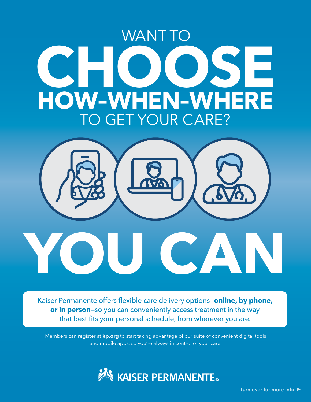## **C HO OSE** WANT TO **HOW–W HEN–W HERE** TO GET YOUR CARE?



Kaiser Permanente offers flexible care delivery options—**online, by phone, or in person**—so you can conveniently access treatment in the way that best fits your personal schedule, from wherever you are.

Members can register at **[kp.org](http://kp.org)** to start taking advantage of our suite of convenient digital tools and mobile apps, so you're always in control of your care.



Turn over for more info